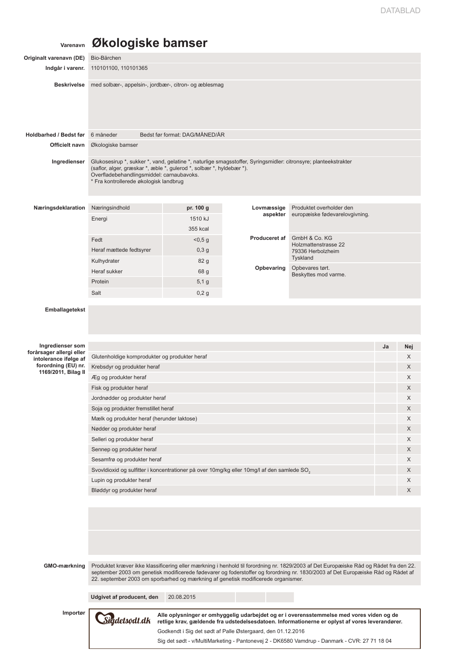## **Varenavn Økologiske bamser**

| Originalt varenavn (DE)                      | Bio-Bärchen                                                                                                                                                                                                                                                                    |                                                             |               |                                                                                                                                                                                                                                                                                            |    |     |  |  |  |
|----------------------------------------------|--------------------------------------------------------------------------------------------------------------------------------------------------------------------------------------------------------------------------------------------------------------------------------|-------------------------------------------------------------|---------------|--------------------------------------------------------------------------------------------------------------------------------------------------------------------------------------------------------------------------------------------------------------------------------------------|----|-----|--|--|--|
| Indgår i varenr.                             | 110101100, 110101365                                                                                                                                                                                                                                                           |                                                             |               |                                                                                                                                                                                                                                                                                            |    |     |  |  |  |
| <b>Beskrivelse</b>                           | med solbær-, appelsin-, jordbær-, citron- og æblesmag                                                                                                                                                                                                                          |                                                             |               |                                                                                                                                                                                                                                                                                            |    |     |  |  |  |
| Holdbarhed / Bedst før                       | 6 måneder                                                                                                                                                                                                                                                                      | Bedst før format: DAG/MÅNED/ÅR                              |               |                                                                                                                                                                                                                                                                                            |    |     |  |  |  |
| Officielt navn                               | Økologiske bamser                                                                                                                                                                                                                                                              |                                                             |               |                                                                                                                                                                                                                                                                                            |    |     |  |  |  |
|                                              |                                                                                                                                                                                                                                                                                |                                                             |               |                                                                                                                                                                                                                                                                                            |    |     |  |  |  |
| Ingredienser                                 | Glukosesirup *, sukker *, vand, gelatine *, naturlige smagsstoffer, Syringsmidler: citronsyre; planteekstrakter<br>(saflor, alger, græskar *, æble *, gulerod *, solbær *, hyldebær *).<br>Overfladebehandlingsmiddel: carnaubavoks.<br>* Fra kontrollerede økologisk landbrug |                                                             |               |                                                                                                                                                                                                                                                                                            |    |     |  |  |  |
| Næringsdeklaration                           | Næringsindhold                                                                                                                                                                                                                                                                 | pr. 100 g                                                   | Lovmæssige    | Produktet overholder den                                                                                                                                                                                                                                                                   |    |     |  |  |  |
|                                              | Energi                                                                                                                                                                                                                                                                         | 1510 kJ                                                     | aspekter      | europæiske fødevarelovgivning.                                                                                                                                                                                                                                                             |    |     |  |  |  |
|                                              |                                                                                                                                                                                                                                                                                | 355 kcal                                                    |               |                                                                                                                                                                                                                                                                                            |    |     |  |  |  |
|                                              | Fedt                                                                                                                                                                                                                                                                           | < 0, 5 g                                                    | Produceret af | GmbH & Co. KG                                                                                                                                                                                                                                                                              |    |     |  |  |  |
|                                              | Heraf mættede fedtsyrer                                                                                                                                                                                                                                                        | 0,3g                                                        |               | Holzmattenstrasse 22                                                                                                                                                                                                                                                                       |    |     |  |  |  |
|                                              |                                                                                                                                                                                                                                                                                |                                                             |               | 79336 Herbolzheim<br>Tyskland                                                                                                                                                                                                                                                              |    |     |  |  |  |
|                                              | Kulhydrater                                                                                                                                                                                                                                                                    | 82 g                                                        | Opbevaring    | Opbevares tørt.                                                                                                                                                                                                                                                                            |    |     |  |  |  |
|                                              | Heraf sukker                                                                                                                                                                                                                                                                   | 68 g                                                        |               | Beskyttes mod varme.                                                                                                                                                                                                                                                                       |    |     |  |  |  |
|                                              | Protein                                                                                                                                                                                                                                                                        | 5,1g                                                        |               |                                                                                                                                                                                                                                                                                            |    |     |  |  |  |
|                                              | Salt                                                                                                                                                                                                                                                                           | 0,2g                                                        |               |                                                                                                                                                                                                                                                                                            |    |     |  |  |  |
| <b>Emballagetekst</b>                        |                                                                                                                                                                                                                                                                                |                                                             |               |                                                                                                                                                                                                                                                                                            |    |     |  |  |  |
| Ingredienser som<br>forårsager allergi eller |                                                                                                                                                                                                                                                                                |                                                             |               |                                                                                                                                                                                                                                                                                            | Ja | Nej |  |  |  |
| intolerance ifølge af                        | Glutenholdige kornprodukter og produkter heraf                                                                                                                                                                                                                                 |                                                             |               |                                                                                                                                                                                                                                                                                            |    | X   |  |  |  |
| forordning (EU) nr.<br>1169/2011, Bilag II   | Krebsdyr og produkter heraf                                                                                                                                                                                                                                                    |                                                             |               |                                                                                                                                                                                                                                                                                            |    | X   |  |  |  |
|                                              | Æg og produkter heraf                                                                                                                                                                                                                                                          |                                                             |               |                                                                                                                                                                                                                                                                                            |    | X   |  |  |  |
|                                              | Fisk og produkter heraf                                                                                                                                                                                                                                                        |                                                             |               |                                                                                                                                                                                                                                                                                            |    | X   |  |  |  |
|                                              | Jordnødder og produkter heraf                                                                                                                                                                                                                                                  |                                                             |               |                                                                                                                                                                                                                                                                                            |    | X   |  |  |  |
|                                              | Soja og produkter fremstillet heraf                                                                                                                                                                                                                                            |                                                             |               |                                                                                                                                                                                                                                                                                            |    | X   |  |  |  |
|                                              | Mælk og produkter heraf (herunder laktose)                                                                                                                                                                                                                                     |                                                             |               |                                                                                                                                                                                                                                                                                            |    | X   |  |  |  |
|                                              | Nødder og produkter heraf                                                                                                                                                                                                                                                      |                                                             |               |                                                                                                                                                                                                                                                                                            |    | X   |  |  |  |
|                                              | Selleri og produkter heraf                                                                                                                                                                                                                                                     |                                                             |               |                                                                                                                                                                                                                                                                                            |    | X   |  |  |  |
|                                              | Sennep og produkter heraf                                                                                                                                                                                                                                                      |                                                             |               |                                                                                                                                                                                                                                                                                            |    | X   |  |  |  |
|                                              | Sesamfrø og produkter heraf                                                                                                                                                                                                                                                    |                                                             |               |                                                                                                                                                                                                                                                                                            |    | X   |  |  |  |
|                                              | Svovldioxid og sulfitter i koncentrationer på over 10mg/kg eller 10mg/l af den samlede SO <sub>2</sub>                                                                                                                                                                         |                                                             |               |                                                                                                                                                                                                                                                                                            |    | X   |  |  |  |
|                                              | Lupin og produkter heraf                                                                                                                                                                                                                                                       |                                                             |               |                                                                                                                                                                                                                                                                                            |    | X   |  |  |  |
|                                              | Bløddyr og produkter heraf                                                                                                                                                                                                                                                     |                                                             |               |                                                                                                                                                                                                                                                                                            |    | X   |  |  |  |
| GMO-mærkning                                 | 22. september 2003 om sporbarhed og mærkning af genetisk modificerede organismer.<br>Udgivet af producent, den                                                                                                                                                                 | 20.08.2015                                                  |               | Produktet kræver ikke klassificering eller mærkning i henhold til forordning nr. 1829/2003 af Det Europæiske Råd og Rådet fra den 22.<br>september 2003 om genetisk modificerede fødevarer og foderstoffer og forordning nr. 1830/2003 af Det Europæiske Råd og Rådet af                   |    |     |  |  |  |
|                                              |                                                                                                                                                                                                                                                                                |                                                             |               |                                                                                                                                                                                                                                                                                            |    |     |  |  |  |
| Importør                                     | Sigdetsødt.dk                                                                                                                                                                                                                                                                  | Godkendt i Sig det sødt af Palle Østergaard, den 01.12.2016 |               | Alle oplysninger er omhyggelig udarbejdet og er i overensstemmelse med vores viden og de<br>retlige krav, gældende fra udstedelsesdatoen. Informationerne er oplyst af vores leverandører.<br>Sig det sødt - v/MultiMarketing - Pantonevej 2 - DK6580 Vamdrup - Danmark - CVR: 27 71 18 04 |    |     |  |  |  |
|                                              |                                                                                                                                                                                                                                                                                |                                                             |               |                                                                                                                                                                                                                                                                                            |    |     |  |  |  |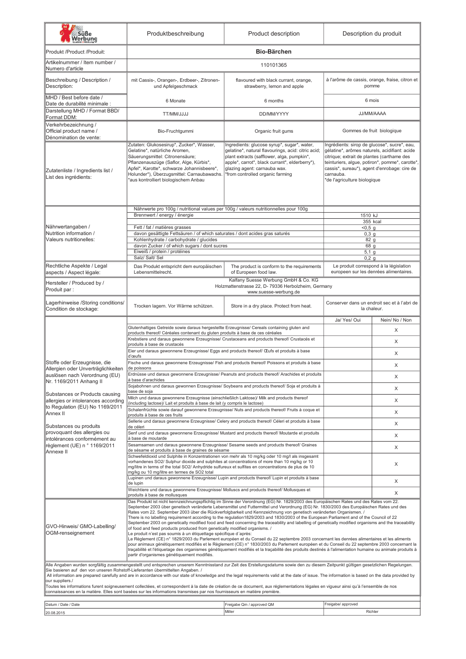| Süße<br>Verbung                                                                                                                                                                                                                                                                                                                                                                                                                                                                              | Produktbeschreibung                                                                                                                                                                                                                                                                                                                                                                                                                                                                                                                                                                                                                                                                                                                                                                                                                                                                                                                                                                                                                                                                                                                                                                                                                                                                                                                                                    | Product description                                                                                                                                                                                                                                                   | Description du produit                                                                                                                                                                                                                                                                     |                                        |  |  |  |
|----------------------------------------------------------------------------------------------------------------------------------------------------------------------------------------------------------------------------------------------------------------------------------------------------------------------------------------------------------------------------------------------------------------------------------------------------------------------------------------------|------------------------------------------------------------------------------------------------------------------------------------------------------------------------------------------------------------------------------------------------------------------------------------------------------------------------------------------------------------------------------------------------------------------------------------------------------------------------------------------------------------------------------------------------------------------------------------------------------------------------------------------------------------------------------------------------------------------------------------------------------------------------------------------------------------------------------------------------------------------------------------------------------------------------------------------------------------------------------------------------------------------------------------------------------------------------------------------------------------------------------------------------------------------------------------------------------------------------------------------------------------------------------------------------------------------------------------------------------------------------|-----------------------------------------------------------------------------------------------------------------------------------------------------------------------------------------------------------------------------------------------------------------------|--------------------------------------------------------------------------------------------------------------------------------------------------------------------------------------------------------------------------------------------------------------------------------------------|----------------------------------------|--|--|--|
| Produkt /Product /Produit:                                                                                                                                                                                                                                                                                                                                                                                                                                                                   |                                                                                                                                                                                                                                                                                                                                                                                                                                                                                                                                                                                                                                                                                                                                                                                                                                                                                                                                                                                                                                                                                                                                                                                                                                                                                                                                                                        | <b>Bio-Bärchen</b>                                                                                                                                                                                                                                                    |                                                                                                                                                                                                                                                                                            |                                        |  |  |  |
| Artikelnummer / Item number /<br>Numero d'article                                                                                                                                                                                                                                                                                                                                                                                                                                            | 110101365                                                                                                                                                                                                                                                                                                                                                                                                                                                                                                                                                                                                                                                                                                                                                                                                                                                                                                                                                                                                                                                                                                                                                                                                                                                                                                                                                              |                                                                                                                                                                                                                                                                       |                                                                                                                                                                                                                                                                                            |                                        |  |  |  |
| Beschreibung / Description /<br>Description:                                                                                                                                                                                                                                                                                                                                                                                                                                                 | mit Cassis-, Orangen-, Erdbeer-, Zitronen-<br>und Apfelgeschmack                                                                                                                                                                                                                                                                                                                                                                                                                                                                                                                                                                                                                                                                                                                                                                                                                                                                                                                                                                                                                                                                                                                                                                                                                                                                                                       | flavoured with black currant, orange,<br>strawberry, lemon and apple                                                                                                                                                                                                  | à l'arôme de cassis, orange, fraise, citron et<br>pomme                                                                                                                                                                                                                                    |                                        |  |  |  |
| MHD / Best before date /<br>Date de durabilité minimale :                                                                                                                                                                                                                                                                                                                                                                                                                                    | 6 Monate                                                                                                                                                                                                                                                                                                                                                                                                                                                                                                                                                                                                                                                                                                                                                                                                                                                                                                                                                                                                                                                                                                                                                                                                                                                                                                                                                               | 6 months                                                                                                                                                                                                                                                              | 6 mois                                                                                                                                                                                                                                                                                     |                                        |  |  |  |
| Darstellung MHD / Format BBD/<br>Format DDM:                                                                                                                                                                                                                                                                                                                                                                                                                                                 | <b>UUUMM/JJJJ</b>                                                                                                                                                                                                                                                                                                                                                                                                                                                                                                                                                                                                                                                                                                                                                                                                                                                                                                                                                                                                                                                                                                                                                                                                                                                                                                                                                      | DD/MM/YYYY                                                                                                                                                                                                                                                            | JJ/MM/AAAA                                                                                                                                                                                                                                                                                 |                                        |  |  |  |
| Verkehrbezeichnung /<br>Official product name /<br>Dénomination de vente:                                                                                                                                                                                                                                                                                                                                                                                                                    | Bio-Fruchtgummi                                                                                                                                                                                                                                                                                                                                                                                                                                                                                                                                                                                                                                                                                                                                                                                                                                                                                                                                                                                                                                                                                                                                                                                                                                                                                                                                                        | Organic fruit gums                                                                                                                                                                                                                                                    | Gommes de fruit biologique                                                                                                                                                                                                                                                                 |                                        |  |  |  |
| Zutatenliste / Ingredients list /<br>List des ingrédients:                                                                                                                                                                                                                                                                                                                                                                                                                                   | Zutaten: Glukosesirup*, Zucker*, Wasser,<br>Gelatine*, natürliche Aromen,<br>Säuerungsmittel: Citronensäure;<br>Pflanzenauszüge (Saflor, Alge, Kürbis*,<br>Apfel*, Karotte*, schwarze Johannisbeere*,<br>Holunder*), Überzugsmittel: Carnaubawachs.<br>aus kontrolliert biologischem Anbau                                                                                                                                                                                                                                                                                                                                                                                                                                                                                                                                                                                                                                                                                                                                                                                                                                                                                                                                                                                                                                                                             | Ingredients: glucose syrup*, sugar*, water,<br>gelatine*, natural flavourings, acid: citric acid;<br>plant extracts (safflower, alga, pumpkin*,<br>apple*, carrot*, black currant*, elderberry*),<br>glazing agent: carnauba wax.<br>*from controlled organic farming | Ingrédients: sirop de glucose*, sucre*, eau,<br>gélatine*, arômes naturels, acidifiant: acide<br>citrique; extrait de plantes (carthame des<br>teinturiers, algue, potiron*, pomme*, carotte*,<br>cassis*, sureau*), agent d'enrobage: cire de<br>carnauba.<br>de l'agriculture biologique |                                        |  |  |  |
|                                                                                                                                                                                                                                                                                                                                                                                                                                                                                              | Nährwerte pro 100g / nutritional values per 100g / valeurs nutritionnelles pour 100g<br>Brennwert / energy / énergie                                                                                                                                                                                                                                                                                                                                                                                                                                                                                                                                                                                                                                                                                                                                                                                                                                                                                                                                                                                                                                                                                                                                                                                                                                                   | 1510 kJ                                                                                                                                                                                                                                                               |                                                                                                                                                                                                                                                                                            |                                        |  |  |  |
| Nährwertangaben /                                                                                                                                                                                                                                                                                                                                                                                                                                                                            | Fett / fat / matières grasses                                                                                                                                                                                                                                                                                                                                                                                                                                                                                                                                                                                                                                                                                                                                                                                                                                                                                                                                                                                                                                                                                                                                                                                                                                                                                                                                          |                                                                                                                                                                                                                                                                       | 355 kcal<br>< 0.5 q                                                                                                                                                                                                                                                                        |                                        |  |  |  |
| Nutrition information /                                                                                                                                                                                                                                                                                                                                                                                                                                                                      | davon gesättigte Fettsäuren / of which saturates / dont acides gras saturés                                                                                                                                                                                                                                                                                                                                                                                                                                                                                                                                                                                                                                                                                                                                                                                                                                                                                                                                                                                                                                                                                                                                                                                                                                                                                            |                                                                                                                                                                                                                                                                       | $0,3$ g                                                                                                                                                                                                                                                                                    |                                        |  |  |  |
| Valeurs nutritionelles:                                                                                                                                                                                                                                                                                                                                                                                                                                                                      | Kohlenhydrate / carbohydrate / glucides<br>davon Zucker / of which sugars / dont sucres                                                                                                                                                                                                                                                                                                                                                                                                                                                                                                                                                                                                                                                                                                                                                                                                                                                                                                                                                                                                                                                                                                                                                                                                                                                                                |                                                                                                                                                                                                                                                                       | 82 <sub>g</sub><br>68 g                                                                                                                                                                                                                                                                    |                                        |  |  |  |
|                                                                                                                                                                                                                                                                                                                                                                                                                                                                                              | Eiweiß / protein / protéines<br>Salz/ Salt/ Sel                                                                                                                                                                                                                                                                                                                                                                                                                                                                                                                                                                                                                                                                                                                                                                                                                                                                                                                                                                                                                                                                                                                                                                                                                                                                                                                        |                                                                                                                                                                                                                                                                       | $5,1$ g<br>$0,2$ g                                                                                                                                                                                                                                                                         |                                        |  |  |  |
| Rechtliche Aspekte / Legal                                                                                                                                                                                                                                                                                                                                                                                                                                                                   | Das Produkt entspricht dem europäischen                                                                                                                                                                                                                                                                                                                                                                                                                                                                                                                                                                                                                                                                                                                                                                                                                                                                                                                                                                                                                                                                                                                                                                                                                                                                                                                                | The product is conform to the requirements                                                                                                                                                                                                                            |                                                                                                                                                                                                                                                                                            | Le produit correspond à la législation |  |  |  |
| aspects / Aspect légale:                                                                                                                                                                                                                                                                                                                                                                                                                                                                     | Lebensmittelrecht.                                                                                                                                                                                                                                                                                                                                                                                                                                                                                                                                                                                                                                                                                                                                                                                                                                                                                                                                                                                                                                                                                                                                                                                                                                                                                                                                                     | of Europeen food law.<br>Kalfany Suesse Werbung GmbH & Co. KG                                                                                                                                                                                                         | europeen sur les denrées alimentaires.                                                                                                                                                                                                                                                     |                                        |  |  |  |
| Hersteller / Produced by /<br>Produit par:                                                                                                                                                                                                                                                                                                                                                                                                                                                   |                                                                                                                                                                                                                                                                                                                                                                                                                                                                                                                                                                                                                                                                                                                                                                                                                                                                                                                                                                                                                                                                                                                                                                                                                                                                                                                                                                        | Holzmattenstrasse 22, D- 79336 Herbolzheim, Germany<br>www.suesse-werbung.de                                                                                                                                                                                          |                                                                                                                                                                                                                                                                                            |                                        |  |  |  |
| Lagerhinweise /Storing conditions/<br>Condition de stockage:                                                                                                                                                                                                                                                                                                                                                                                                                                 | Trocken lagern. Vor Wärme schützen.<br>Store in a dry place. Protect from heat.                                                                                                                                                                                                                                                                                                                                                                                                                                                                                                                                                                                                                                                                                                                                                                                                                                                                                                                                                                                                                                                                                                                                                                                                                                                                                        |                                                                                                                                                                                                                                                                       | Conserver dans un endroit sec et à l'abri de<br>la chaleur.                                                                                                                                                                                                                                |                                        |  |  |  |
|                                                                                                                                                                                                                                                                                                                                                                                                                                                                                              | Glutenhaltiges Getreide sowie daraus hergestellte Erzeugnisse/ Cereals containing gluten and                                                                                                                                                                                                                                                                                                                                                                                                                                                                                                                                                                                                                                                                                                                                                                                                                                                                                                                                                                                                                                                                                                                                                                                                                                                                           |                                                                                                                                                                                                                                                                       | Ja/ Yes/ Oui                                                                                                                                                                                                                                                                               | Nein/No / Non                          |  |  |  |
|                                                                                                                                                                                                                                                                                                                                                                                                                                                                                              | products thereof/ Céréales contenant du gluten produits à base de ces céréales<br>Krebstiere und daraus gewonnene Erzeugnisse/ Crustaceans and products thereof/ Crustacés et                                                                                                                                                                                                                                                                                                                                                                                                                                                                                                                                                                                                                                                                                                                                                                                                                                                                                                                                                                                                                                                                                                                                                                                          |                                                                                                                                                                                                                                                                       | X                                                                                                                                                                                                                                                                                          |                                        |  |  |  |
|                                                                                                                                                                                                                                                                                                                                                                                                                                                                                              | produits à base de crustacés                                                                                                                                                                                                                                                                                                                                                                                                                                                                                                                                                                                                                                                                                                                                                                                                                                                                                                                                                                                                                                                                                                                                                                                                                                                                                                                                           |                                                                                                                                                                                                                                                                       | X                                                                                                                                                                                                                                                                                          |                                        |  |  |  |
|                                                                                                                                                                                                                                                                                                                                                                                                                                                                                              | Eier und daraus gewonnene Erzeugnisse/ Eggs and products thereof/ CEufs et produits à base<br>d'œufs                                                                                                                                                                                                                                                                                                                                                                                                                                                                                                                                                                                                                                                                                                                                                                                                                                                                                                                                                                                                                                                                                                                                                                                                                                                                   |                                                                                                                                                                                                                                                                       | X                                                                                                                                                                                                                                                                                          |                                        |  |  |  |
| Stoffe oder Erzeugnisse, die<br>Allergien oder Unverträglichkeiten                                                                                                                                                                                                                                                                                                                                                                                                                           | Fische und daraus gewonnene Erzeugnisse/ Fish and products thereof/ Poissons et produits à base<br>de poissons                                                                                                                                                                                                                                                                                                                                                                                                                                                                                                                                                                                                                                                                                                                                                                                                                                                                                                                                                                                                                                                                                                                                                                                                                                                         |                                                                                                                                                                                                                                                                       | X                                                                                                                                                                                                                                                                                          |                                        |  |  |  |
| auslösen nach Verordnung (EU)<br>Nr. 1169/2011 Anhang II                                                                                                                                                                                                                                                                                                                                                                                                                                     | Erdnüsse und daraus gewonnene Erzeugnisse/ Peanuts and products thereof/ Arachides et produits<br>à base d'arachides                                                                                                                                                                                                                                                                                                                                                                                                                                                                                                                                                                                                                                                                                                                                                                                                                                                                                                                                                                                                                                                                                                                                                                                                                                                   |                                                                                                                                                                                                                                                                       | X                                                                                                                                                                                                                                                                                          |                                        |  |  |  |
|                                                                                                                                                                                                                                                                                                                                                                                                                                                                                              | Sojabohnen und daraus gewonnen Erzeugnisse/ Soybeans and products thereof/ Soja et produits à<br>base de soja                                                                                                                                                                                                                                                                                                                                                                                                                                                                                                                                                                                                                                                                                                                                                                                                                                                                                                                                                                                                                                                                                                                                                                                                                                                          |                                                                                                                                                                                                                                                                       | X                                                                                                                                                                                                                                                                                          |                                        |  |  |  |
| Substances or Products causing<br>allergies or intolerances according                                                                                                                                                                                                                                                                                                                                                                                                                        | Milch und daraus gewonnene Erzeugnisse (einschließlich Laktose)/ Milk and products thereof<br>(including lactose)/ Lait et produits à base de lait (y compris le lactose)                                                                                                                                                                                                                                                                                                                                                                                                                                                                                                                                                                                                                                                                                                                                                                                                                                                                                                                                                                                                                                                                                                                                                                                              |                                                                                                                                                                                                                                                                       | X                                                                                                                                                                                                                                                                                          |                                        |  |  |  |
| to Regulation (EU) No 1169/2011<br>Annex II                                                                                                                                                                                                                                                                                                                                                                                                                                                  | Schalenfrüchte sowie darauf gewonnene Erzeugnisse/ Nuts and products thereof/ Fruits à coque et                                                                                                                                                                                                                                                                                                                                                                                                                                                                                                                                                                                                                                                                                                                                                                                                                                                                                                                                                                                                                                                                                                                                                                                                                                                                        |                                                                                                                                                                                                                                                                       | X                                                                                                                                                                                                                                                                                          |                                        |  |  |  |
|                                                                                                                                                                                                                                                                                                                                                                                                                                                                                              | produits à base de ces fruits<br>Sellerie und daraus gewonnene Erzeugnisse/ Celery and products thereof/ Céleri et produits à base                                                                                                                                                                                                                                                                                                                                                                                                                                                                                                                                                                                                                                                                                                                                                                                                                                                                                                                                                                                                                                                                                                                                                                                                                                     |                                                                                                                                                                                                                                                                       | X                                                                                                                                                                                                                                                                                          |                                        |  |  |  |
| Substances ou produits<br>provoquant des allergies ou                                                                                                                                                                                                                                                                                                                                                                                                                                        | de céleri<br>Senf und und daraus gewonnene Erzeugnisse/ Mustard and products thereof/ Moutarde et produits                                                                                                                                                                                                                                                                                                                                                                                                                                                                                                                                                                                                                                                                                                                                                                                                                                                                                                                                                                                                                                                                                                                                                                                                                                                             |                                                                                                                                                                                                                                                                       |                                                                                                                                                                                                                                                                                            |                                        |  |  |  |
| intolérances conformément au<br>règlement (UE) n ° 1169/2011                                                                                                                                                                                                                                                                                                                                                                                                                                 | à base de moutarde<br>Sesamsamen und daraus gewonnene Erzeugnisse/ Sesame seeds and products thereof/ Graines                                                                                                                                                                                                                                                                                                                                                                                                                                                                                                                                                                                                                                                                                                                                                                                                                                                                                                                                                                                                                                                                                                                                                                                                                                                          |                                                                                                                                                                                                                                                                       | X                                                                                                                                                                                                                                                                                          |                                        |  |  |  |
| Annexe II                                                                                                                                                                                                                                                                                                                                                                                                                                                                                    | de sésame et produits à base de graines de sésame<br>Schwefeldioxid und Sulphite in Konzentrationen von mehr als 10 mg/kg oder 10 mg/l als insgesamt                                                                                                                                                                                                                                                                                                                                                                                                                                                                                                                                                                                                                                                                                                                                                                                                                                                                                                                                                                                                                                                                                                                                                                                                                   |                                                                                                                                                                                                                                                                       | X                                                                                                                                                                                                                                                                                          |                                        |  |  |  |
|                                                                                                                                                                                                                                                                                                                                                                                                                                                                                              | vorhandenes SO2/ Sulphur dioxide and sulphites at concentrations of more than 10 mg/kg or 10<br>mg/litre in terms of the total SO2/ Anhydride sulfureux et sulfites en concentrations de plus de 10<br>mg/kg ou 10 mg/litre en termes de SO2 total                                                                                                                                                                                                                                                                                                                                                                                                                                                                                                                                                                                                                                                                                                                                                                                                                                                                                                                                                                                                                                                                                                                     |                                                                                                                                                                                                                                                                       | X                                                                                                                                                                                                                                                                                          |                                        |  |  |  |
|                                                                                                                                                                                                                                                                                                                                                                                                                                                                                              | Lupinen und daraus gewonnene Erzeugnisse/ Lupin and products thereof/ Lupin et produits à base<br>de lupin                                                                                                                                                                                                                                                                                                                                                                                                                                                                                                                                                                                                                                                                                                                                                                                                                                                                                                                                                                                                                                                                                                                                                                                                                                                             |                                                                                                                                                                                                                                                                       | X                                                                                                                                                                                                                                                                                          |                                        |  |  |  |
|                                                                                                                                                                                                                                                                                                                                                                                                                                                                                              | Weichtiere und daraus gewonnene Erzeugnisse/ Molluscs and products thereof/ Mollusques et<br>produits à base de mollusques                                                                                                                                                                                                                                                                                                                                                                                                                                                                                                                                                                                                                                                                                                                                                                                                                                                                                                                                                                                                                                                                                                                                                                                                                                             |                                                                                                                                                                                                                                                                       | X                                                                                                                                                                                                                                                                                          |                                        |  |  |  |
| GVO-Hinweis/ GMO-Labelling/<br>OGM-renseignement                                                                                                                                                                                                                                                                                                                                                                                                                                             | Das Produkt ist nicht kennzeichnungspflichtig im Sinne der Verordnung (EG) Nr. 1829/2003 des Europäischen Rates und des Rates vom 22.<br>September 2003 über genetisch veränderte Lebensmittel und Futtermittel und Verordnung (EG) Nr. 1830/2003 des Europäischen Rates und des<br>Rates vom 22. September 2003 über die Rückverfolgbarkeit und Kennzeichnung von genetisch veränderten Organismen. /<br>There is no labelling requirement according to the regulation1829/2003 and 1830/2003 of the European Parliament and of the Council of 22<br>September 2003 on genetically modified food and feed concerning the traceability and labelling of genetically modified organisms and the traceability<br>of food and feed products produced from genetically modified organisms. /<br>Le produit n'est pas soumis à un étiquettage spécifique d'après:<br>Le Règlement (CE) n° 1829/2003 du Parlement européen et du Conseil du 22 septembre 2003 concernant les denrées alimentaires et les aliments<br>pour animaux génétiquement modifiés et le Règlement (CE) n° 1830/2003 du Parlement européen et du Conseil du 22 septembre 2003 concernant la<br>traçabilité et l'étiquetage des organismes génétiquement modifiés et la traçabilité des produits destinés à l'alimentation humaine ou animale produits à<br>partir d'organismes génétiquement modifiés. |                                                                                                                                                                                                                                                                       |                                                                                                                                                                                                                                                                                            |                                        |  |  |  |
|                                                                                                                                                                                                                                                                                                                                                                                                                                                                                              |                                                                                                                                                                                                                                                                                                                                                                                                                                                                                                                                                                                                                                                                                                                                                                                                                                                                                                                                                                                                                                                                                                                                                                                                                                                                                                                                                                        | Alle Angaben wurden sorgfältig zusammengestellt und entsprechen unserem Kenntnisstand zur Zeit des Erstellungsdatums sowie den zu diesem Zeitpunkt gültigen gesetzlichen Regelungen.                                                                                  |                                                                                                                                                                                                                                                                                            |                                        |  |  |  |
| Sie basieren auf den von unseren Rohstoff-Lieferanten übermittelten Angaben. /<br>All information are prepared carefully and are in accordance with our state of knowledge and the legal requirements valid at the date of issue. The information is based on the data provided by<br>our suppliers./<br>Toutes les informations furent soigneusement collectées, et correspondent à la date de création de ce document, aux réglementations légales en vigueur ainsi qu'à l'ensemble de nos |                                                                                                                                                                                                                                                                                                                                                                                                                                                                                                                                                                                                                                                                                                                                                                                                                                                                                                                                                                                                                                                                                                                                                                                                                                                                                                                                                                        |                                                                                                                                                                                                                                                                       |                                                                                                                                                                                                                                                                                            |                                        |  |  |  |
| connaissances en la matière. Elles sont basées sur les informations transmises par nos fournisseurs en matière première.                                                                                                                                                                                                                                                                                                                                                                     |                                                                                                                                                                                                                                                                                                                                                                                                                                                                                                                                                                                                                                                                                                                                                                                                                                                                                                                                                                                                                                                                                                                                                                                                                                                                                                                                                                        |                                                                                                                                                                                                                                                                       |                                                                                                                                                                                                                                                                                            |                                        |  |  |  |
| Datum / Date / Date                                                                                                                                                                                                                                                                                                                                                                                                                                                                          |                                                                                                                                                                                                                                                                                                                                                                                                                                                                                                                                                                                                                                                                                                                                                                                                                                                                                                                                                                                                                                                                                                                                                                                                                                                                                                                                                                        | Freigabe Qm / approved QM                                                                                                                                                                                                                                             | Freigabe/ approved                                                                                                                                                                                                                                                                         |                                        |  |  |  |

20.08.2015 Miller Richter